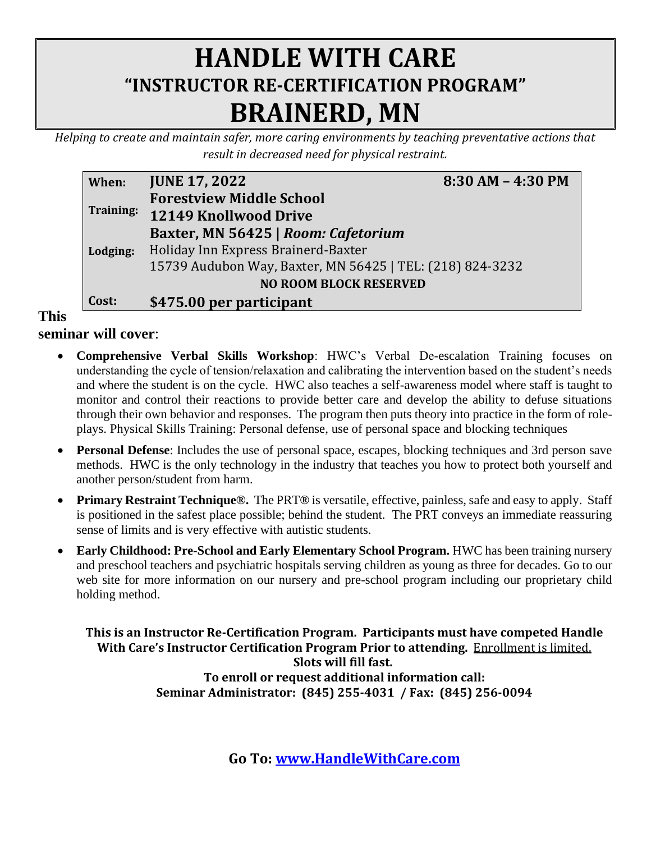## **HANDLE WITH CARE "INSTRUCTOR RE-CERTIFICATION PROGRAM" BRAINERD, MN**

*Helping to create and maintain safer, more caring environments by teaching preventative actions that result in decreased need for physical restraint.*

| When:     | <b>JUNE 17, 2022</b>                                      | $8:30 AM - 4:30 PM$ |
|-----------|-----------------------------------------------------------|---------------------|
|           | <b>Forestview Middle School</b>                           |                     |
| Training: | 12149 Knollwood Drive                                     |                     |
|           | Baxter, MN 56425   Room: Cafetorium                       |                     |
| Lodging:  | Holiday Inn Express Brainerd-Baxter                       |                     |
|           | 15739 Audubon Way, Baxter, MN 56425   TEL: (218) 824-3232 |                     |
|           | <b>NO ROOM BLOCK RESERVED</b>                             |                     |
| Cost:     | \$475.00 per participant                                  |                     |

**This** 

**seminar will cover**:

- **Comprehensive Verbal Skills Workshop**: HWC's Verbal De-escalation Training focuses on understanding the cycle of tension/relaxation and calibrating the intervention based on the student's needs and where the student is on the cycle. HWC also teaches a self-awareness model where staff is taught to monitor and control their reactions to provide better care and develop the ability to defuse situations through their own behavior and responses. The program then puts theory into practice in the form of roleplays. Physical Skills Training: Personal defense, use of personal space and blocking techniques
- **Personal Defense**: Includes the use of personal space, escapes, blocking techniques and 3rd person save methods. HWC is the only technology in the industry that teaches you how to protect both yourself and another person/student from harm.
- **Primary Restraint Technique®.** The PRT**®** is versatile, effective, painless, safe and easy to apply. Staff is positioned in the safest place possible; behind the student. The PRT conveys an immediate reassuring sense of limits and is very effective with autistic students.
- **Early Childhood: Pre-School and Early Elementary School Program.** HWC has been training nursery and preschool teachers and psychiatric hospitals serving children as young as three for decades. Go to our web site for more information on our nursery and pre-school program including our proprietary child holding method.

**This is an Instructor Re-Certification Program. Participants must have competed Handle With Care's Instructor Certification Program Prior to attending.** Enrollment is limited. **Slots will fill fast. To enroll or request additional information call: Seminar Administrator: (845) 255-4031 / Fax: (845) 256-0094**

**Go To: [www.HandleWithCare.com](http://www.handlewithcare.com/)**